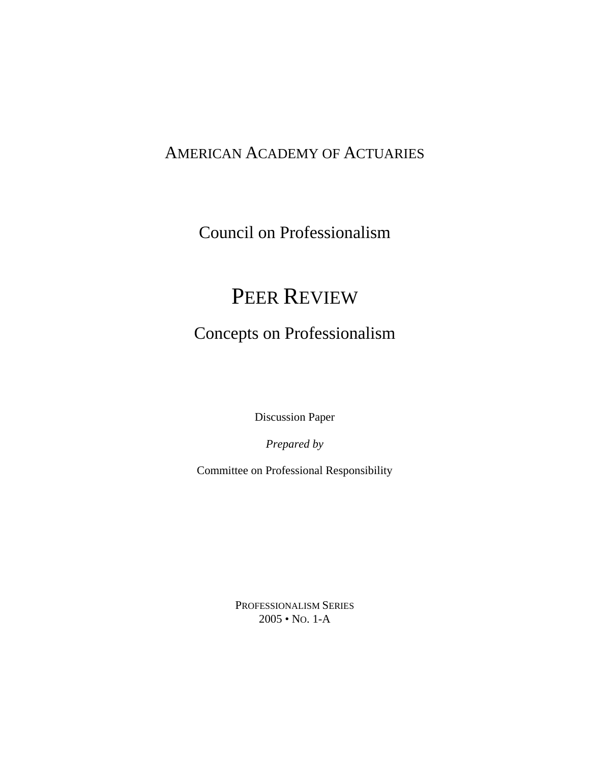### AMERICAN ACADEMY OF ACTUARIES

Council on Professionalism

### PEER REVIEW

### Concepts on Professionalism

Discussion Paper

*Prepared by*

Committee on Professional Responsibility

PROFESSIONALISM SERIES 2005 • NO. 1-A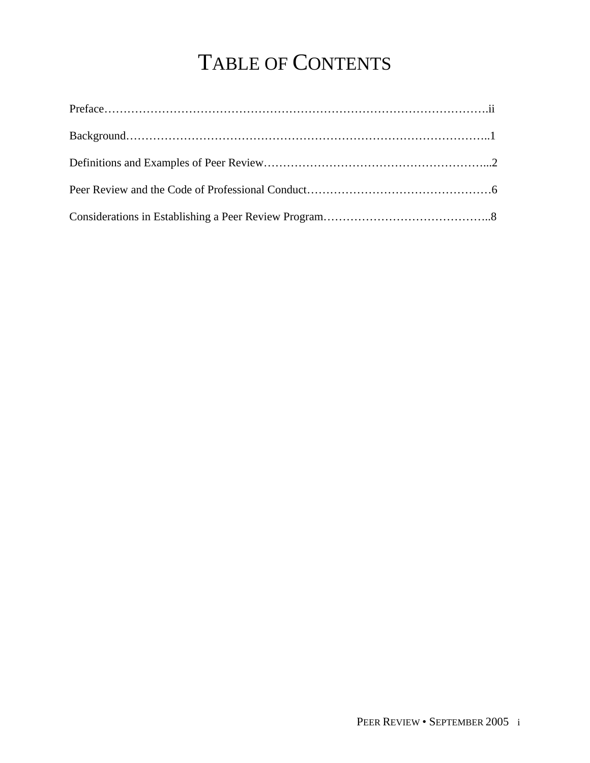# TABLE OF CONTENTS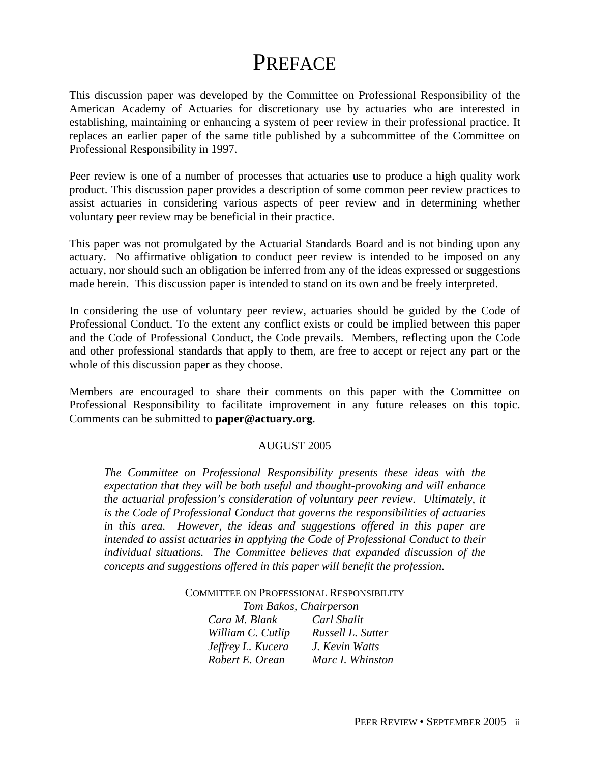### **PREFACE**

This discussion paper was developed by the Committee on Professional Responsibility of the American Academy of Actuaries for discretionary use by actuaries who are interested in establishing, maintaining or enhancing a system of peer review in their professional practice. It replaces an earlier paper of the same title published by a subcommittee of the Committee on Professional Responsibility in 1997.

Peer review is one of a number of processes that actuaries use to produce a high quality work product. This discussion paper provides a description of some common peer review practices to assist actuaries in considering various aspects of peer review and in determining whether voluntary peer review may be beneficial in their practice.

This paper was not promulgated by the Actuarial Standards Board and is not binding upon any actuary. No affirmative obligation to conduct peer review is intended to be imposed on any actuary, nor should such an obligation be inferred from any of the ideas expressed or suggestions made herein. This discussion paper is intended to stand on its own and be freely interpreted.

In considering the use of voluntary peer review, actuaries should be guided by the Code of Professional Conduct. To the extent any conflict exists or could be implied between this paper and the Code of Professional Conduct, the Code prevails. Members, reflecting upon the Code and other professional standards that apply to them, are free to accept or reject any part or the whole of this discussion paper as they choose.

Members are encouraged to share their comments on this paper with the Committee on Professional Responsibility to facilitate improvement in any future releases on this topic. Comments can be submitted to **paper@actuary.org**.

#### AUGUST 2005

*The Committee on Professional Responsibility presents these ideas with the expectation that they will be both useful and thought-provoking and will enhance the actuarial profession's consideration of voluntary peer review. Ultimately, it is the Code of Professional Conduct that governs the responsibilities of actuaries in this area. However, the ideas and suggestions offered in this paper are intended to assist actuaries in applying the Code of Professional Conduct to their individual situations. The Committee believes that expanded discussion of the concepts and suggestions offered in this paper will benefit the profession.*

#### COMMITTEE ON PROFESSIONAL RESPONSIBILITY *Tom Bakos, Chairperson*

| Cara M. Blank     | Carl Shalit       |
|-------------------|-------------------|
| William C. Cutlip | Russell L. Sutter |
| Jeffrey L. Kucera | J. Kevin Watts    |
| Robert E. Orean   | Marc I. Whinston  |
|                   |                   |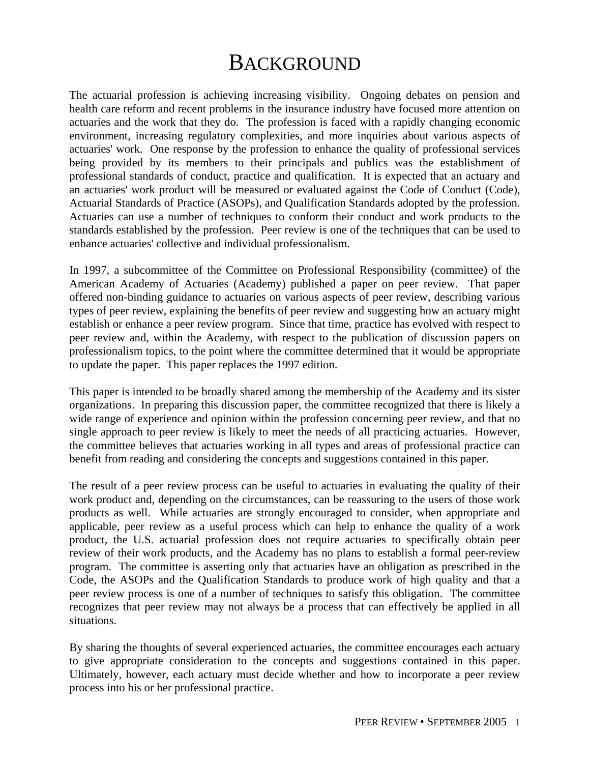### **BACKGROUND**

The actuarial profession is achieving increasing visibility. Ongoing debates on pension and health care reform and recent problems in the insurance industry have focused more attention on actuaries and the work that they do. The profession is faced with a rapidly changing economic environment, increasing regulatory complexities, and more inquiries about various aspects of actuaries' work. One response by the profession to enhance the quality of professional services being provided by its members to their principals and publics was the establishment of professional standards of conduct, practice and qualification. It is expected that an actuary and an actuaries' work product will be measured or evaluated against the Code of Conduct (Code), Actuarial Standards of Practice (ASOPs), and Qualification Standards adopted by the profession. Actuaries can use a number of techniques to conform their conduct and work products to the standards established by the profession. Peer review is one of the techniques that can be used to enhance actuaries' collective and individual professionalism.

In 1997, a subcommittee of the Committee on Professional Responsibility (committee) of the American Academy of Actuaries (Academy) published a paper on peer review. That paper offered non-binding guidance to actuaries on various aspects of peer review, describing various types of peer review, explaining the benefits of peer review and suggesting how an actuary might establish or enhance a peer review program. Since that time, practice has evolved with respect to peer review and, within the Academy, with respect to the publication of discussion papers on professionalism topics, to the point where the committee determined that it would be appropriate to update the paper. This paper replaces the 1997 edition.

This paper is intended to be broadly shared among the membership of the Academy and its sister organizations. In preparing this discussion paper, the committee recognized that there is likely a wide range of experience and opinion within the profession concerning peer review, and that no single approach to peer review is likely to meet the needs of all practicing actuaries. However, the committee believes that actuaries working in all types and areas of professional practice can benefit from reading and considering the concepts and suggestions contained in this paper.

The result of a peer review process can be useful to actuaries in evaluating the quality of their work product and, depending on the circumstances, can be reassuring to the users of those work products as well. While actuaries are strongly encouraged to consider, when appropriate and applicable, peer review as a useful process which can help to enhance the quality of a work product, the U.S. actuarial profession does not require actuaries to specifically obtain peer review of their work products, and the Academy has no plans to establish a formal peer-review program. The committee is asserting only that actuaries have an obligation as prescribed in the Code, the ASOPs and the Qualification Standards to produce work of high quality and that a peer review process is one of a number of techniques to satisfy this obligation. The committee recognizes that peer review may not always be a process that can effectively be applied in all situations.

By sharing the thoughts of several experienced actuaries, the committee encourages each actuary to give appropriate consideration to the concepts and suggestions contained in this paper. Ultimately, however, each actuary must decide whether and how to incorporate a peer review process into his or her professional practice.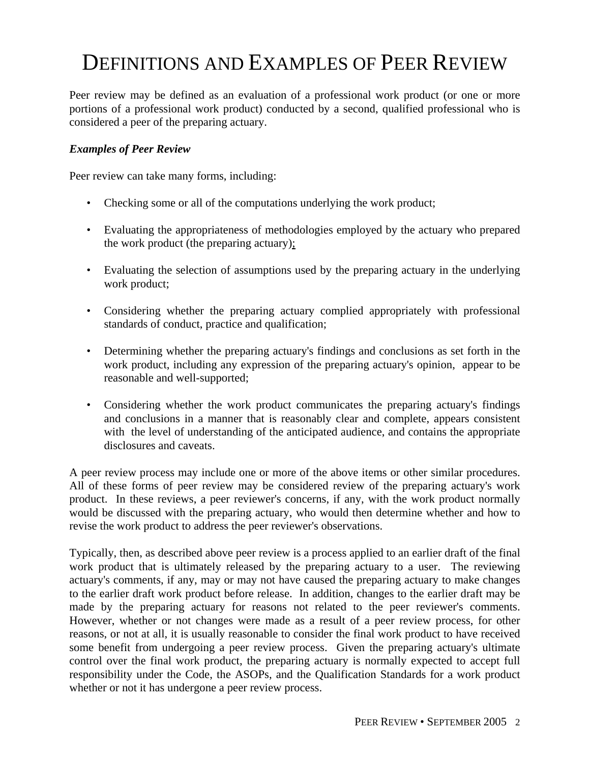## DEFINITIONS AND EXAMPLES OF PEER REVIEW

Peer review may be defined as an evaluation of a professional work product (or one or more portions of a professional work product) conducted by a second, qualified professional who is considered a peer of the preparing actuary.

#### *Examples of Peer Review*

Peer review can take many forms, including:

- Checking some or all of the computations underlying the work product;
- Evaluating the appropriateness of methodologies employed by the actuary who prepared the work product (the preparing actuary);
- Evaluating the selection of assumptions used by the preparing actuary in the underlying work product;
- Considering whether the preparing actuary complied appropriately with professional standards of conduct, practice and qualification;
- Determining whether the preparing actuary's findings and conclusions as set forth in the work product, including any expression of the preparing actuary's opinion, appear to be reasonable and well-supported;
- Considering whether the work product communicates the preparing actuary's findings and conclusions in a manner that is reasonably clear and complete, appears consistent with the level of understanding of the anticipated audience, and contains the appropriate disclosures and caveats.

A peer review process may include one or more of the above items or other similar procedures. All of these forms of peer review may be considered review of the preparing actuary's work product. In these reviews, a peer reviewer's concerns, if any, with the work product normally would be discussed with the preparing actuary, who would then determine whether and how to revise the work product to address the peer reviewer's observations.

Typically, then, as described above peer review is a process applied to an earlier draft of the final work product that is ultimately released by the preparing actuary to a user. The reviewing actuary's comments, if any, may or may not have caused the preparing actuary to make changes to the earlier draft work product before release. In addition, changes to the earlier draft may be made by the preparing actuary for reasons not related to the peer reviewer's comments. However, whether or not changes were made as a result of a peer review process, for other reasons, or not at all, it is usually reasonable to consider the final work product to have received some benefit from undergoing a peer review process. Given the preparing actuary's ultimate control over the final work product, the preparing actuary is normally expected to accept full responsibility under the Code, the ASOPs, and the Qualification Standards for a work product whether or not it has undergone a peer review process.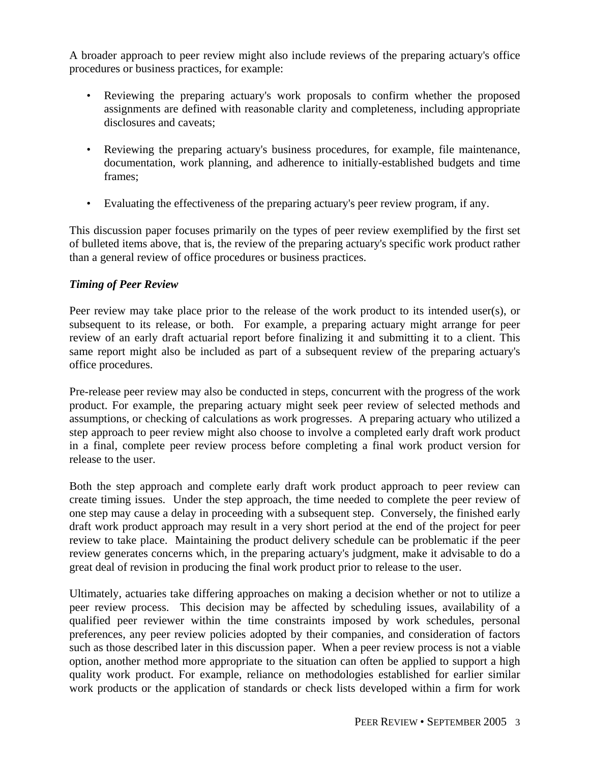A broader approach to peer review might also include reviews of the preparing actuary's office procedures or business practices, for example:

- Reviewing the preparing actuary's work proposals to confirm whether the proposed assignments are defined with reasonable clarity and completeness, including appropriate disclosures and caveats;
- Reviewing the preparing actuary's business procedures, for example, file maintenance, documentation, work planning, and adherence to initially-established budgets and time frames;
- Evaluating the effectiveness of the preparing actuary's peer review program, if any.

This discussion paper focuses primarily on the types of peer review exemplified by the first set of bulleted items above, that is, the review of the preparing actuary's specific work product rather than a general review of office procedures or business practices.

#### *Timing of Peer Review*

Peer review may take place prior to the release of the work product to its intended user(s), or subsequent to its release, or both. For example, a preparing actuary might arrange for peer review of an early draft actuarial report before finalizing it and submitting it to a client. This same report might also be included as part of a subsequent review of the preparing actuary's office procedures.

Pre-release peer review may also be conducted in steps, concurrent with the progress of the work product. For example, the preparing actuary might seek peer review of selected methods and assumptions, or checking of calculations as work progresses. A preparing actuary who utilized a step approach to peer review might also choose to involve a completed early draft work product in a final, complete peer review process before completing a final work product version for release to the user.

Both the step approach and complete early draft work product approach to peer review can create timing issues. Under the step approach, the time needed to complete the peer review of one step may cause a delay in proceeding with a subsequent step. Conversely, the finished early draft work product approach may result in a very short period at the end of the project for peer review to take place. Maintaining the product delivery schedule can be problematic if the peer review generates concerns which, in the preparing actuary's judgment, make it advisable to do a great deal of revision in producing the final work product prior to release to the user.

Ultimately, actuaries take differing approaches on making a decision whether or not to utilize a peer review process. This decision may be affected by scheduling issues, availability of a qualified peer reviewer within the time constraints imposed by work schedules, personal preferences, any peer review policies adopted by their companies, and consideration of factors such as those described later in this discussion paper. When a peer review process is not a viable option, another method more appropriate to the situation can often be applied to support a high quality work product. For example, reliance on methodologies established for earlier similar work products or the application of standards or check lists developed within a firm for work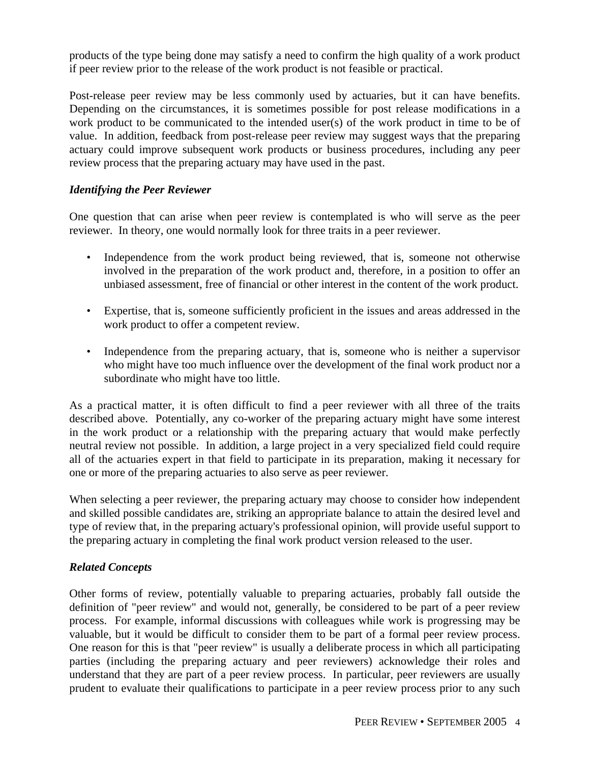products of the type being done may satisfy a need to confirm the high quality of a work product if peer review prior to the release of the work product is not feasible or practical.

Post-release peer review may be less commonly used by actuaries, but it can have benefits. Depending on the circumstances, it is sometimes possible for post release modifications in a work product to be communicated to the intended user(s) of the work product in time to be of value. In addition, feedback from post-release peer review may suggest ways that the preparing actuary could improve subsequent work products or business procedures, including any peer review process that the preparing actuary may have used in the past.

#### *Identifying the Peer Reviewer*

One question that can arise when peer review is contemplated is who will serve as the peer reviewer. In theory, one would normally look for three traits in a peer reviewer.

- Independence from the work product being reviewed, that is, someone not otherwise involved in the preparation of the work product and, therefore, in a position to offer an unbiased assessment, free of financial or other interest in the content of the work product.
- Expertise, that is, someone sufficiently proficient in the issues and areas addressed in the work product to offer a competent review.
- Independence from the preparing actuary, that is, someone who is neither a supervisor who might have too much influence over the development of the final work product nor a subordinate who might have too little.

As a practical matter, it is often difficult to find a peer reviewer with all three of the traits described above. Potentially, any co-worker of the preparing actuary might have some interest in the work product or a relationship with the preparing actuary that would make perfectly neutral review not possible. In addition, a large project in a very specialized field could require all of the actuaries expert in that field to participate in its preparation, making it necessary for one or more of the preparing actuaries to also serve as peer reviewer.

When selecting a peer reviewer, the preparing actuary may choose to consider how independent and skilled possible candidates are, striking an appropriate balance to attain the desired level and type of review that, in the preparing actuary's professional opinion, will provide useful support to the preparing actuary in completing the final work product version released to the user.

#### *Related Concepts*

Other forms of review, potentially valuable to preparing actuaries, probably fall outside the definition of "peer review" and would not, generally, be considered to be part of a peer review process. For example, informal discussions with colleagues while work is progressing may be valuable, but it would be difficult to consider them to be part of a formal peer review process. One reason for this is that "peer review" is usually a deliberate process in which all participating parties (including the preparing actuary and peer reviewers) acknowledge their roles and understand that they are part of a peer review process. In particular, peer reviewers are usually prudent to evaluate their qualifications to participate in a peer review process prior to any such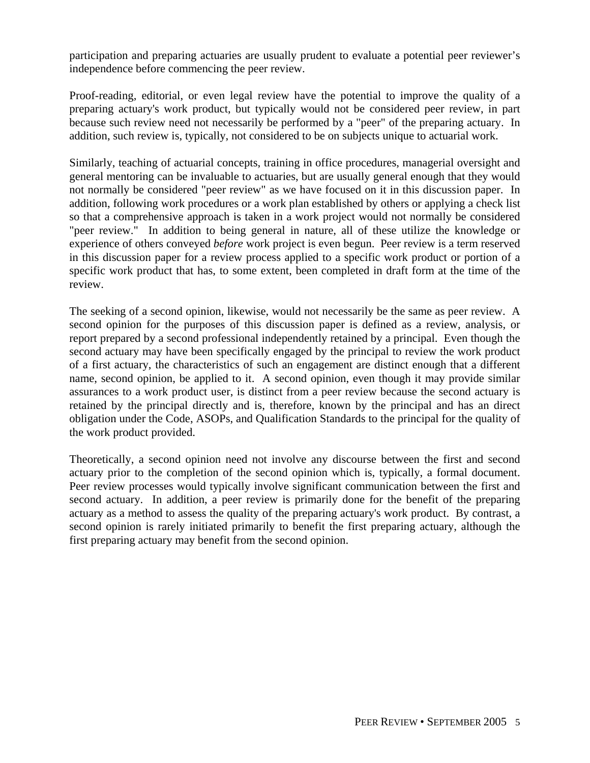participation and preparing actuaries are usually prudent to evaluate a potential peer reviewer's independence before commencing the peer review.

Proof-reading, editorial, or even legal review have the potential to improve the quality of a preparing actuary's work product, but typically would not be considered peer review, in part because such review need not necessarily be performed by a "peer" of the preparing actuary. In addition, such review is, typically, not considered to be on subjects unique to actuarial work.

Similarly, teaching of actuarial concepts, training in office procedures, managerial oversight and general mentoring can be invaluable to actuaries, but are usually general enough that they would not normally be considered "peer review" as we have focused on it in this discussion paper. In addition, following work procedures or a work plan established by others or applying a check list so that a comprehensive approach is taken in a work project would not normally be considered "peer review." In addition to being general in nature, all of these utilize the knowledge or experience of others conveyed *before* work project is even begun. Peer review is a term reserved in this discussion paper for a review process applied to a specific work product or portion of a specific work product that has, to some extent, been completed in draft form at the time of the review.

The seeking of a second opinion, likewise, would not necessarily be the same as peer review. A second opinion for the purposes of this discussion paper is defined as a review, analysis, or report prepared by a second professional independently retained by a principal. Even though the second actuary may have been specifically engaged by the principal to review the work product of a first actuary, the characteristics of such an engagement are distinct enough that a different name, second opinion, be applied to it. A second opinion, even though it may provide similar assurances to a work product user, is distinct from a peer review because the second actuary is retained by the principal directly and is, therefore, known by the principal and has an direct obligation under the Code, ASOPs, and Qualification Standards to the principal for the quality of the work product provided.

Theoretically, a second opinion need not involve any discourse between the first and second actuary prior to the completion of the second opinion which is, typically, a formal document. Peer review processes would typically involve significant communication between the first and second actuary. In addition, a peer review is primarily done for the benefit of the preparing actuary as a method to assess the quality of the preparing actuary's work product. By contrast, a second opinion is rarely initiated primarily to benefit the first preparing actuary, although the first preparing actuary may benefit from the second opinion.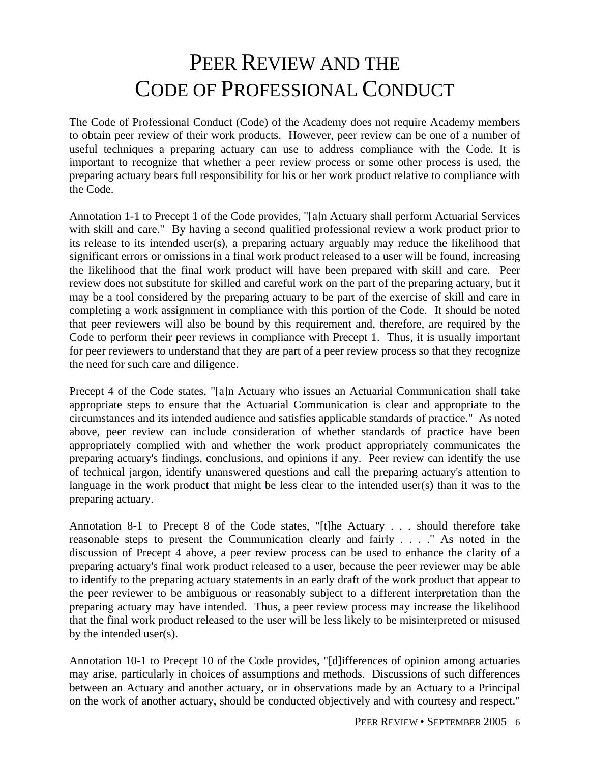## PEER REVIEW AND THE CODE OF PROFESSIONAL CONDUCT

The Code of Professional Conduct (Code) of the Academy does not require Academy members to obtain peer review of their work products. However, peer review can be one of a number of useful techniques a preparing actuary can use to address compliance with the Code. It is important to recognize that whether a peer review process or some other process is used, the preparing actuary bears full responsibility for his or her work product relative to compliance with the Code.

Annotation 1-1 to Precept 1 of the Code provides, "[a]n Actuary shall perform Actuarial Services with skill and care." By having a second qualified professional review a work product prior to its release to its intended user(s), a preparing actuary arguably may reduce the likelihood that significant errors or omissions in a final work product released to a user will be found, increasing the likelihood that the final work product will have been prepared with skill and care. Peer review does not substitute for skilled and careful work on the part of the preparing actuary, but it may be a tool considered by the preparing actuary to be part of the exercise of skill and care in completing a work assignment in compliance with this portion of the Code. It should be noted that peer reviewers will also be bound by this requirement and, therefore, are required by the Code to perform their peer reviews in compliance with Precept 1. Thus, it is usually important for peer reviewers to understand that they are part of a peer review process so that they recognize the need for such care and diligence.

Precept 4 of the Code states, "[a]n Actuary who issues an Actuarial Communication shall take appropriate steps to ensure that the Actuarial Communication is clear and appropriate to the circumstances and its intended audience and satisfies applicable standards of practice." As noted above, peer review can include consideration of whether standards of practice have been appropriately complied with and whether the work product appropriately communicates the preparing actuary's findings, conclusions, and opinions if any. Peer review can identify the use of technical jargon, identify unanswered questions and call the preparing actuary's attention to language in the work product that might be less clear to the intended user(s) than it was to the preparing actuary.

Annotation 8-1 to Precept 8 of the Code states, "[t]he Actuary . . . should therefore take reasonable steps to present the Communication clearly and fairly . . . ." As noted in the discussion of Precept 4 above, a peer review process can be used to enhance the clarity of a preparing actuary's final work product released to a user, because the peer reviewer may be able to identify to the preparing actuary statements in an early draft of the work product that appear to the peer reviewer to be ambiguous or reasonably subject to a different interpretation than the preparing actuary may have intended. Thus, a peer review process may increase the likelihood that the final work product released to the user will be less likely to be misinterpreted or misused by the intended user(s).

Annotation 10-1 to Precept 10 of the Code provides, "[d]ifferences of opinion among actuaries may arise, particularly in choices of assumptions and methods. Discussions of such differences between an Actuary and another actuary, or in observations made by an Actuary to a Principal on the work of another actuary, should be conducted objectively and with courtesy and respect."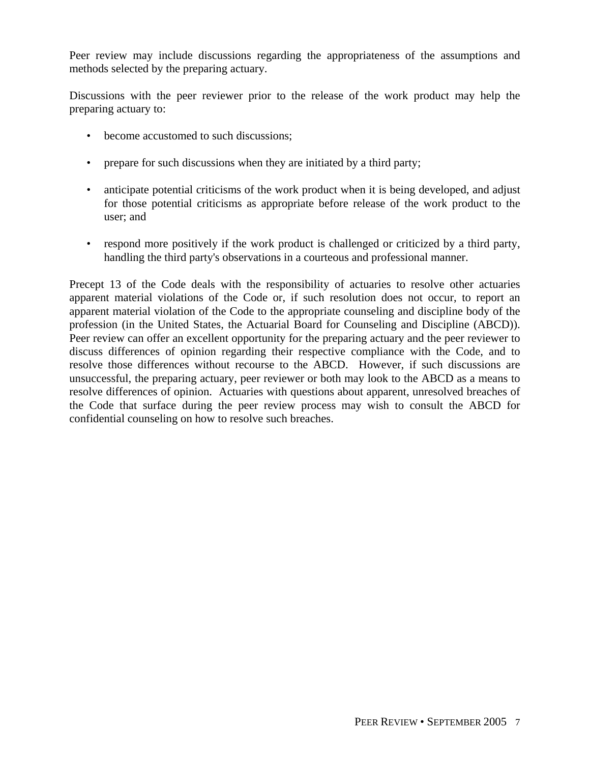Peer review may include discussions regarding the appropriateness of the assumptions and methods selected by the preparing actuary.

Discussions with the peer reviewer prior to the release of the work product may help the preparing actuary to:

- become accustomed to such discussions;
- prepare for such discussions when they are initiated by a third party;
- anticipate potential criticisms of the work product when it is being developed, and adjust for those potential criticisms as appropriate before release of the work product to the user; and
- respond more positively if the work product is challenged or criticized by a third party, handling the third party's observations in a courteous and professional manner.

Precept 13 of the Code deals with the responsibility of actuaries to resolve other actuaries apparent material violations of the Code or, if such resolution does not occur, to report an apparent material violation of the Code to the appropriate counseling and discipline body of the profession (in the United States, the Actuarial Board for Counseling and Discipline (ABCD)). Peer review can offer an excellent opportunity for the preparing actuary and the peer reviewer to discuss differences of opinion regarding their respective compliance with the Code, and to resolve those differences without recourse to the ABCD. However, if such discussions are unsuccessful, the preparing actuary, peer reviewer or both may look to the ABCD as a means to resolve differences of opinion. Actuaries with questions about apparent, unresolved breaches of the Code that surface during the peer review process may wish to consult the ABCD for confidential counseling on how to resolve such breaches.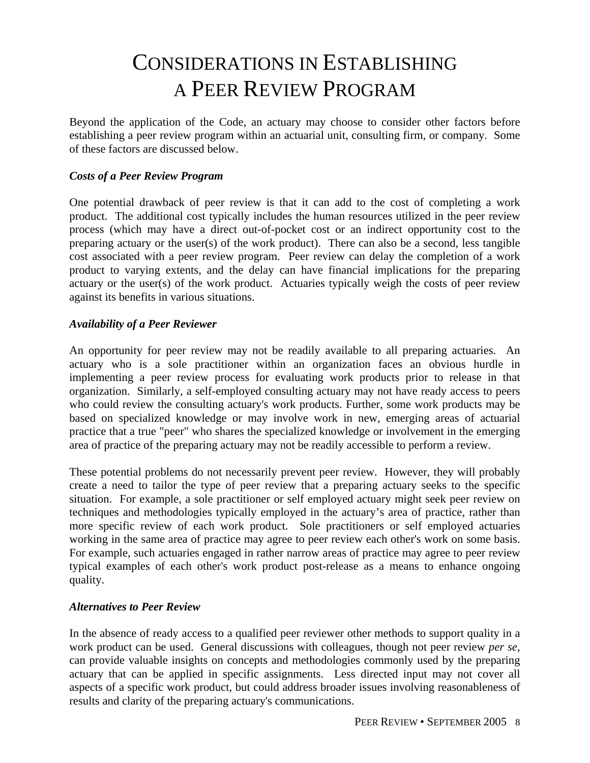## CONSIDERATIONS IN ESTABLISHING A PEER REVIEW PROGRAM

Beyond the application of the Code, an actuary may choose to consider other factors before establishing a peer review program within an actuarial unit, consulting firm, or company. Some of these factors are discussed below.

#### *Costs of a Peer Review Program*

One potential drawback of peer review is that it can add to the cost of completing a work product. The additional cost typically includes the human resources utilized in the peer review process (which may have a direct out-of-pocket cost or an indirect opportunity cost to the preparing actuary or the user(s) of the work product). There can also be a second, less tangible cost associated with a peer review program. Peer review can delay the completion of a work product to varying extents, and the delay can have financial implications for the preparing actuary or the user(s) of the work product. Actuaries typically weigh the costs of peer review against its benefits in various situations.

#### *Availability of a Peer Reviewer*

An opportunity for peer review may not be readily available to all preparing actuaries. An actuary who is a sole practitioner within an organization faces an obvious hurdle in implementing a peer review process for evaluating work products prior to release in that organization. Similarly, a self-employed consulting actuary may not have ready access to peers who could review the consulting actuary's work products. Further, some work products may be based on specialized knowledge or may involve work in new, emerging areas of actuarial practice that a true "peer" who shares the specialized knowledge or involvement in the emerging area of practice of the preparing actuary may not be readily accessible to perform a review.

These potential problems do not necessarily prevent peer review. However, they will probably create a need to tailor the type of peer review that a preparing actuary seeks to the specific situation. For example, a sole practitioner or self employed actuary might seek peer review on techniques and methodologies typically employed in the actuary's area of practice, rather than more specific review of each work product. Sole practitioners or self employed actuaries working in the same area of practice may agree to peer review each other's work on some basis. For example, such actuaries engaged in rather narrow areas of practice may agree to peer review typical examples of each other's work product post-release as a means to enhance ongoing quality.

#### *Alternatives to Peer Review*

In the absence of ready access to a qualified peer reviewer other methods to support quality in a work product can be used. General discussions with colleagues, though not peer review *per se*, can provide valuable insights on concepts and methodologies commonly used by the preparing actuary that can be applied in specific assignments. Less directed input may not cover all aspects of a specific work product, but could address broader issues involving reasonableness of results and clarity of the preparing actuary's communications.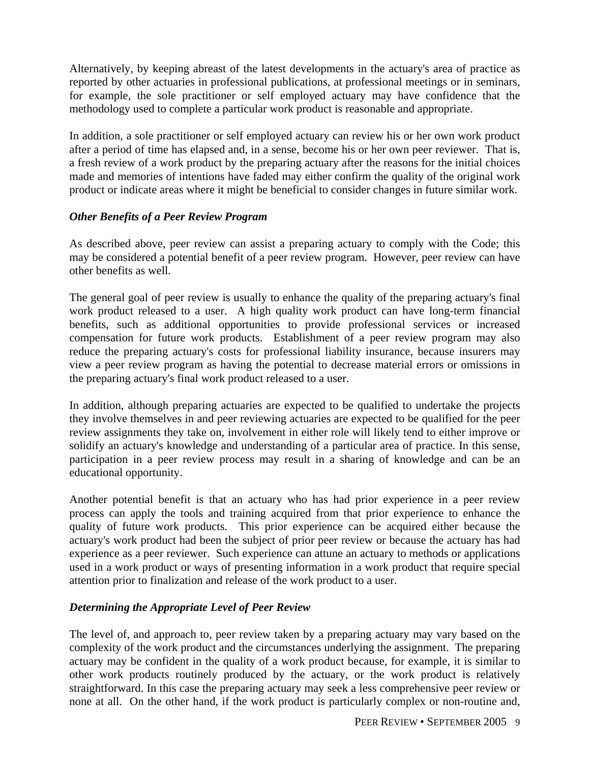Alternatively, by keeping abreast of the latest developments in the actuary's area of practice as reported by other actuaries in professional publications, at professional meetings or in seminars, for example, the sole practitioner or self employed actuary may have confidence that the methodology used to complete a particular work product is reasonable and appropriate.

In addition, a sole practitioner or self employed actuary can review his or her own work product after a period of time has elapsed and, in a sense, become his or her own peer reviewer. That is, a fresh review of a work product by the preparing actuary after the reasons for the initial choices made and memories of intentions have faded may either confirm the quality of the original work product or indicate areas where it might be beneficial to consider changes in future similar work.

#### *Other Benefits of a Peer Review Program*

As described above, peer review can assist a preparing actuary to comply with the Code; this may be considered a potential benefit of a peer review program. However, peer review can have other benefits as well.

The general goal of peer review is usually to enhance the quality of the preparing actuary's final work product released to a user. A high quality work product can have long-term financial benefits, such as additional opportunities to provide professional services or increased compensation for future work products. Establishment of a peer review program may also reduce the preparing actuary's costs for professional liability insurance, because insurers may view a peer review program as having the potential to decrease material errors or omissions in the preparing actuary's final work product released to a user.

In addition, although preparing actuaries are expected to be qualified to undertake the projects they involve themselves in and peer reviewing actuaries are expected to be qualified for the peer review assignments they take on, involvement in either role will likely tend to either improve or solidify an actuary's knowledge and understanding of a particular area of practice. In this sense, participation in a peer review process may result in a sharing of knowledge and can be an educational opportunity.

Another potential benefit is that an actuary who has had prior experience in a peer review process can apply the tools and training acquired from that prior experience to enhance the quality of future work products. This prior experience can be acquired either because the actuary's work product had been the subject of prior peer review or because the actuary has had experience as a peer reviewer. Such experience can attune an actuary to methods or applications used in a work product or ways of presenting information in a work product that require special attention prior to finalization and release of the work product to a user.

#### *Determining the Appropriate Level of Peer Review*

The level of, and approach to, peer review taken by a preparing actuary may vary based on the complexity of the work product and the circumstances underlying the assignment. The preparing actuary may be confident in the quality of a work product because, for example, it is similar to other work products routinely produced by the actuary, or the work product is relatively straightforward. In this case the preparing actuary may seek a less comprehensive peer review or none at all. On the other hand, if the work product is particularly complex or non-routine and,